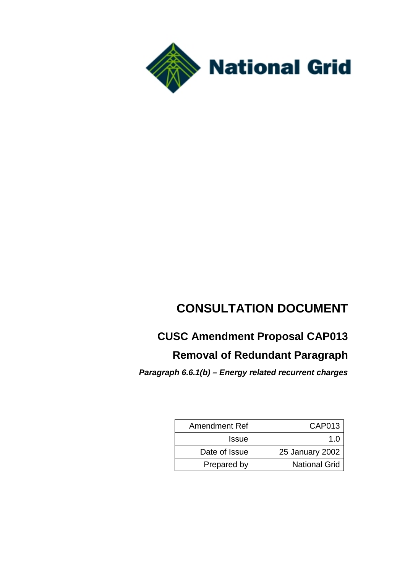

# **CONSULTATION DOCUMENT**

# **CUSC Amendment Proposal CAP013**

## **Removal of Redundant Paragraph**

*Paragraph 6.6.1(b) – Energy related recurrent charges*

| Amendment Ref | <b>CAP013</b>        |
|---------------|----------------------|
| <b>Issue</b>  | 10                   |
| Date of Issue | 25 January 2002      |
| Prepared by   | <b>National Grid</b> |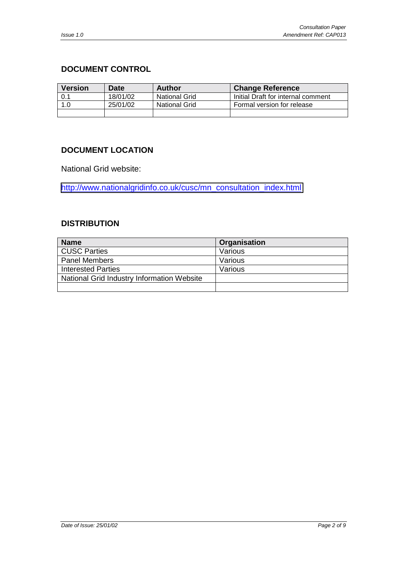#### <span id="page-1-0"></span>**DOCUMENT CONTROL**

| <b>Version</b> | Date     | Author               | <b>Change Reference</b>            |
|----------------|----------|----------------------|------------------------------------|
| 0.1            | 18/01/02 | <b>National Grid</b> | Initial Draft for internal comment |
| 1.0            | 25/01/02 | <b>National Grid</b> | Formal version for release         |
|                |          |                      |                                    |

#### **DOCUMENT LOCATION**

National Grid website:

[http://www.nationalgridinfo.co.uk/cusc/mn\\_consultation\\_index.html](http://www.nationalgridinfo.co.uk/cusc/mn_consultation_index.html)

#### **DISTRIBUTION**

| <b>Name</b>                                | Organisation |
|--------------------------------------------|--------------|
| CUSC Parties                               | Various      |
| <b>Panel Members</b>                       | Various      |
| <b>Interested Parties</b>                  | Various      |
| National Grid Industry Information Website |              |
|                                            |              |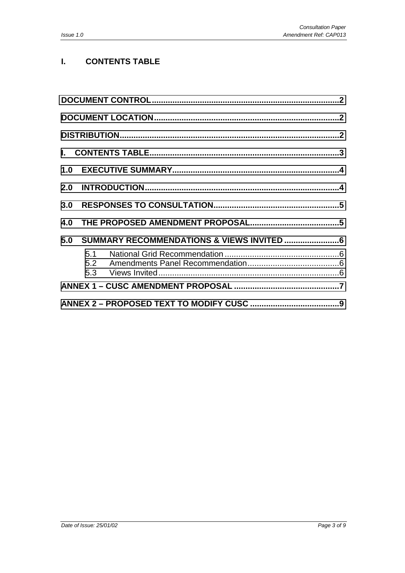#### **I. CONTENTS TABLE**

| 3.0 |     |  |  |  |
|-----|-----|--|--|--|
| 4.0 |     |  |  |  |
| 5.0 |     |  |  |  |
|     | 5.1 |  |  |  |
|     |     |  |  |  |
|     |     |  |  |  |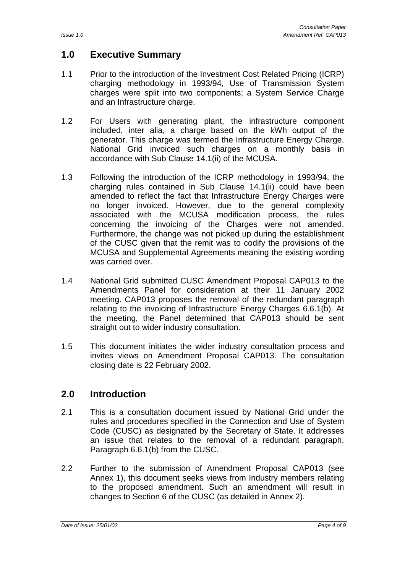## <span id="page-3-0"></span>**1.0 Executive Summary**

- 1.1 Prior to the introduction of the Investment Cost Related Pricing (ICRP) charging methodology in 1993/94, Use of Transmission System charges were split into two components; a System Service Charge and an Infrastructure charge.
- 1.2 For Users with generating plant, the infrastructure component included, inter alia, a charge based on the kWh output of the generator. This charge was termed the Infrastructure Energy Charge. National Grid invoiced such charges on a monthly basis in accordance with Sub Clause 14.1(ii) of the MCUSA.
- 1.3 Following the introduction of the ICRP methodology in 1993/94, the charging rules contained in Sub Clause 14.1(ii) could have been amended to reflect the fact that Infrastructure Energy Charges were no longer invoiced. However, due to the general complexity associated with the MCUSA modification process, the rules concerning the invoicing of the Charges were not amended. Furthermore, the change was not picked up during the establishment of the CUSC given that the remit was to codify the provisions of the MCUSA and Supplemental Agreements meaning the existing wording was carried over.
- 1.4 National Grid submitted CUSC Amendment Proposal CAP013 to the Amendments Panel for consideration at their 11 January 2002 meeting. CAP013 proposes the removal of the redundant paragraph relating to the invoicing of Infrastructure Energy Charges 6.6.1(b). At the meeting, the Panel determined that CAP013 should be sent straight out to wider industry consultation.
- 1.5 This document initiates the wider industry consultation process and invites views on Amendment Proposal CAP013. The consultation closing date is 22 February 2002.

## **2.0 Introduction**

- 2.1 This is a consultation document issued by National Grid under the rules and procedures specified in the Connection and Use of System Code (CUSC) as designated by the Secretary of State. It addresses an issue that relates to the removal of a redundant paragraph, Paragraph 6.6.1(b) from the CUSC.
- 2.2 Further to the submission of Amendment Proposal CAP013 (see Annex 1), this document seeks views from Industry members relating to the proposed amendment. Such an amendment will result in changes to Section 6 of the CUSC (as detailed in Annex 2).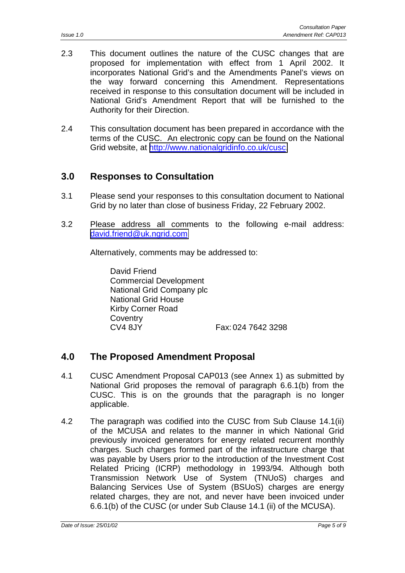- <span id="page-4-0"></span>2.3 This document outlines the nature of the CUSC changes that are proposed for implementation with effect from 1 April 2002. It incorporates National Grid's and the Amendments Panel's views on the way forward concerning this Amendment. Representations received in response to this consultation document will be included in National Grid's Amendment Report that will be furnished to the Authority for their Direction.
- 2.4 This consultation document has been prepared in accordance with the terms of the CUSC. An electronic copy can be found on the National Grid website, at [http://www.nationalgridinfo.co.uk/cusc.](http://www.nationalgridinfo.co.uk/cusc)

### **3.0 Responses to Consultation**

- 3.1 Please send your responses to this consultation document to National Grid by no later than close of business Friday, 22 February 2002.
- 3.2 Please address all comments to the following e-mail address: [david.friend@uk.ngrid.com](mailto:david.friend@uk.ngrid.com)

Alternatively, comments may be addressed to:

David Friend Commercial Development National Grid Company plc National Grid House Kirby Corner Road **Coventry** CV4 8JY Fax: 024 7642 3298

#### **4.0 The Proposed Amendment Proposal**

- 4.1 CUSC Amendment Proposal CAP013 (see Annex 1) as submitted by National Grid proposes the removal of paragraph 6.6.1(b) from the CUSC. This is on the grounds that the paragraph is no longer applicable.
- 4.2 The paragraph was codified into the CUSC from Sub Clause 14.1(ii) of the MCUSA and relates to the manner in which National Grid previously invoiced generators for energy related recurrent monthly charges. Such charges formed part of the infrastructure charge that was payable by Users prior to the introduction of the Investment Cost Related Pricing (ICRP) methodology in 1993/94. Although both Transmission Network Use of System (TNUoS) charges and Balancing Services Use of System (BSUoS) charges are energy related charges, they are not, and never have been invoiced under 6.6.1(b) of the CUSC (or under Sub Clause 14.1 (ii) of the MCUSA).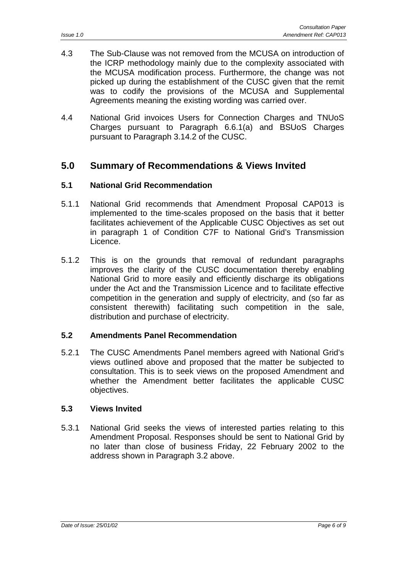- <span id="page-5-0"></span>4.3 The Sub-Clause was not removed from the MCUSA on introduction of the ICRP methodology mainly due to the complexity associated with the MCUSA modification process. Furthermore, the change was not picked up during the establishment of the CUSC given that the remit was to codify the provisions of the MCUSA and Supplemental Agreements meaning the existing wording was carried over.
- 4.4 National Grid invoices Users for Connection Charges and TNUoS Charges pursuant to Paragraph 6.6.1(a) and BSUoS Charges pursuant to Paragraph 3.14.2 of the CUSC.

#### **5.0 Summary of Recommendations & Views Invited**

#### **5.1 National Grid Recommendation**

- 5.1.1 National Grid recommends that Amendment Proposal CAP013 is implemented to the time-scales proposed on the basis that it better facilitates achievement of the Applicable CUSC Objectives as set out in paragraph 1 of Condition C7F to National Grid's Transmission Licence.
- 5.1.2 This is on the grounds that removal of redundant paragraphs improves the clarity of the CUSC documentation thereby enabling National Grid to more easily and efficiently discharge its obligations under the Act and the Transmission Licence and to facilitate effective competition in the generation and supply of electricity, and (so far as consistent therewith) facilitating such competition in the sale, distribution and purchase of electricity.

#### **5.2 Amendments Panel Recommendation**

5.2.1 The CUSC Amendments Panel members agreed with National Grid's views outlined above and proposed that the matter be subjected to consultation. This is to seek views on the proposed Amendment and whether the Amendment better facilitates the applicable CUSC objectives.

#### **5.3 Views Invited**

5.3.1 National Grid seeks the views of interested parties relating to this Amendment Proposal. Responses should be sent to National Grid by no later than close of business Friday, 22 February 2002 to the address shown in Paragraph 3.2 above.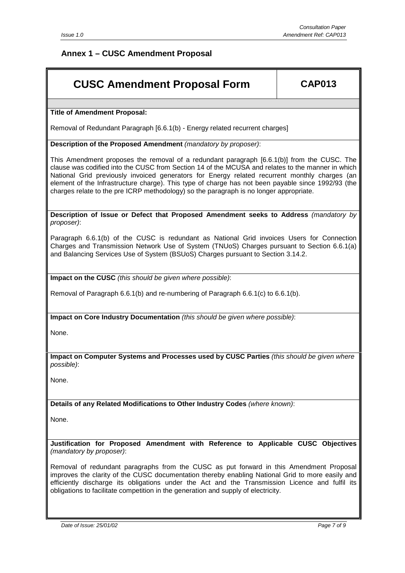#### <span id="page-6-0"></span>**Annex 1 – CUSC Amendment Proposal**

## **CUSC Amendment Proposal Form CAP013**

**Title of Amendment Proposal:**

Removal of Redundant Paragraph [6.6.1(b) - Energy related recurrent charges]

**Description of the Proposed Amendment** *(mandatory by proposer)*:

This Amendment proposes the removal of a redundant paragraph [6.6.1(b)] from the CUSC. The clause was codified into the CUSC from Section 14 of the MCUSA and relates to the manner in which National Grid previously invoiced generators for Energy related recurrent monthly charges (an element of the Infrastructure charge). This type of charge has not been payable since 1992/93 (the charges relate to the pre ICRP methodology) so the paragraph is no longer appropriate.

**Description of Issue or Defect that Proposed Amendment seeks to Address** *(mandatory by proposer)*:

Paragraph 6.6.1(b) of the CUSC is redundant as National Grid invoices Users for Connection Charges and Transmission Network Use of System (TNUoS) Charges pursuant to Section 6.6.1(a) and Balancing Services Use of System (BSUoS) Charges pursuant to Section 3.14.2.

**Impact on the CUSC** *(this should be given where possible)*:

Removal of Paragraph 6.6.1(b) and re-numbering of Paragraph 6.6.1(c) to 6.6.1(b).

**Impact on Core Industry Documentation** *(this should be given where possible)*:

None.

**Impact on Computer Systems and Processes used by CUSC Parties** *(this should be given where possible)*:

None.

**Details of any Related Modifications to Other Industry Codes** *(where known)*:

None.

**Justification for Proposed Amendment with Reference to Applicable CUSC Objectives** *(mandatory by proposer)*:

Removal of redundant paragraphs from the CUSC as put forward in this Amendment Proposal improves the clarity of the CUSC documentation thereby enabling National Grid to more easily and efficiently discharge its obligations under the Act and the Transmission Licence and fulfil its obligations to facilitate competition in the generation and supply of electricity.

*Date of Issue: 25/01/02 Page 7 of 9*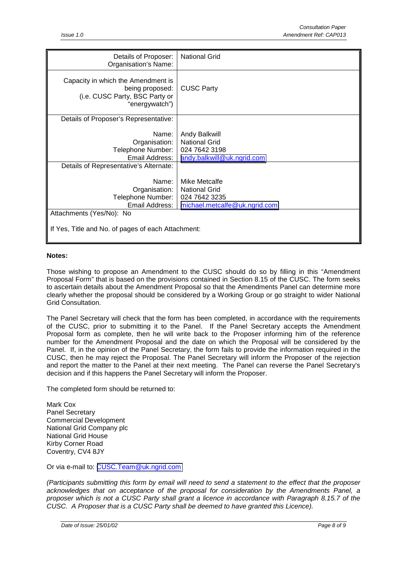| Details of Proposer:<br>Organisation's Name:                                                              | <b>National Grid</b>                                                                 |  |  |  |
|-----------------------------------------------------------------------------------------------------------|--------------------------------------------------------------------------------------|--|--|--|
| Capacity in which the Amendment is<br>being proposed:<br>(i.e. CUSC Party, BSC Party or<br>"energywatch") | <b>CUSC Party</b>                                                                    |  |  |  |
| Details of Proposer's Representative:                                                                     |                                                                                      |  |  |  |
| Name:<br>Organisation:<br>Telephone Number:<br>Email Address:<br>Details of Representative's Alternate:   | Andy Balkwill<br><b>National Grid</b><br>024 7642 3198<br>andy.balkwill@uk.ngrid.com |  |  |  |
| Name:                                                                                                     | Mike Metcalfe                                                                        |  |  |  |
| Organisation:                                                                                             | <b>National Grid</b>                                                                 |  |  |  |
| Telephone Number:<br>Email Address:                                                                       | 024 7642 3235<br>michael.metcalfe@uk.ngrid.com                                       |  |  |  |
| Attachments (Yes/No): No                                                                                  |                                                                                      |  |  |  |
| If Yes, Title and No. of pages of each Attachment:                                                        |                                                                                      |  |  |  |

#### **Notes:**

Those wishing to propose an Amendment to the CUSC should do so by filling in this "Amendment Proposal Form" that is based on the provisions contained in Section 8.15 of the CUSC. The form seeks to ascertain details about the Amendment Proposal so that the Amendments Panel can determine more clearly whether the proposal should be considered by a Working Group or go straight to wider National Grid Consultation.

The Panel Secretary will check that the form has been completed, in accordance with the requirements of the CUSC, prior to submitting it to the Panel. If the Panel Secretary accepts the Amendment Proposal form as complete, then he will write back to the Proposer informing him of the reference number for the Amendment Proposal and the date on which the Proposal will be considered by the Panel. If, in the opinion of the Panel Secretary, the form fails to provide the information required in the CUSC, then he may reject the Proposal. The Panel Secretary will inform the Proposer of the rejection and report the matter to the Panel at their next meeting. The Panel can reverse the Panel Secretary's decision and if this happens the Panel Secretary will inform the Proposer.

The completed form should be returned to:

Mark Cox Panel Secretary Commercial Development National Grid Company plc National Grid House Kirby Corner Road Coventry, CV4 8JY

Or via e-mail to: [CUSC.Team@uk.ngrid.com](mailto:CUSC.Team@uk.ngrid.com)

*(Participants submitting this form by email will need to send a statement to the effect that the proposer acknowledges that on acceptance of the proposal for consideration by the Amendments Panel, a proposer which is not a CUSC Party shall grant a licence in accordance with Paragraph 8.15.7 of the CUSC. A Proposer that is a CUSC Party shall be deemed to have granted this Licence).*